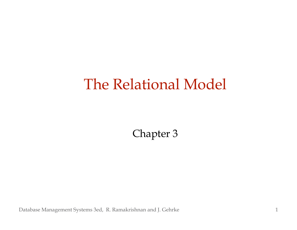## The Relational Model

Chapter 3

Database Management Systems 3ed, R. Ramakrishnan and J. Gehrke 1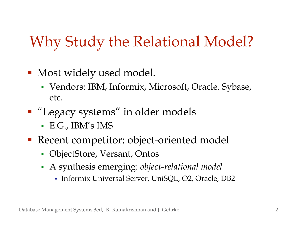# Why Study the Relational Model?

- **Most widely used model.** 
	- Vendors: IBM, Informix, Microsoft, Oracle, Sybase, etc.
- **"Legacy systems" in older models** 
	- E.G., IBM's IMS
- Recent competitor: object-oriented model
	- ObjectStore, Versant, Ontos
	- A synthesis emerging: *object-relational model*
		- Informix Universal Server, UniSQL, O2, Oracle, DB2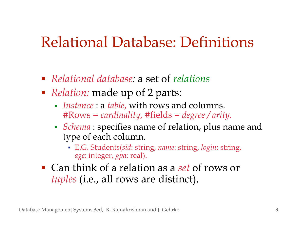#### Relational Database: Definitions

- *Relational database:* a set of *relations*
- *Relation:* made up of 2 parts:
	- *Instance* : a *table*, with rows and columns. #Rows = *cardinality*, #fields = *degree / arity.*
	- *Schema* : specifies name of relation, plus name and type of each column.
		- E.G. Students(*sid*: string, *name*: string, *login*: string, *age*: integer, *gpa*: real).
- Can think of a relation as a *set* of rows or *tuples* (i.e., all rows are distinct).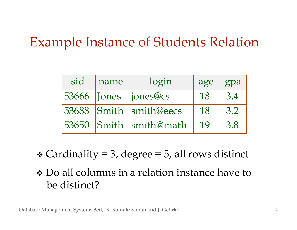#### Example Instance of Students Relation

| sid | name | login                  | age | gpa |
|-----|------|------------------------|-----|-----|
|     |      | 53666 Jones jones@cs   | 18  | 3.4 |
|     |      | 53688 Smith smith@eecs | 18  | 3.2 |
|     |      | 53650 Smith smith@math | 19  | 3.8 |

- $\triangleleft$  Cardinality = 3, degree = 5, all rows distinct
- \* Do all columns in a relation instance have to be distinct?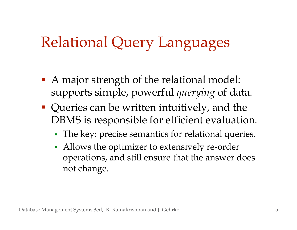## Relational Query Languages

- A major strength of the relational model: supports simple, powerful *querying* of data.
- **Queries can be written intuitively, and the** DBMS is responsible for efficient evaluation.
	- The key: precise semantics for relational queries.
	- Allows the optimizer to extensively re-order operations, and still ensure that the answer does not change.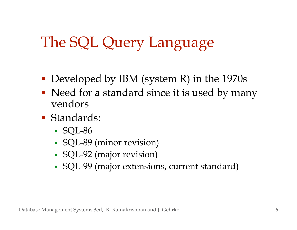## The SQL Query Language

- Developed by IBM (system R) in the 1970s
- Need for a standard since it is used by many vendors
- **Standards:** 
	- SQL-86
	- SQL-89 (minor revision)
	- SQL-92 (major revision)
	- SQL-99 (major extensions, current standard)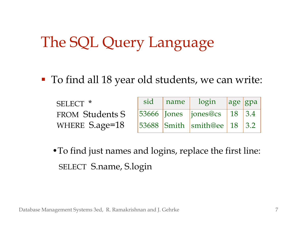## The SQL Query Language

To find all 18 year old students, we can write:

| SELECT <sup>*</sup>    |  | sid name login age gpa                  |  |
|------------------------|--|-----------------------------------------|--|
| <b>FROM Students S</b> |  | $ 53666 $ Jones $ jones@cs $ 18 3.4     |  |
| WHERE S.age=18         |  | $ 53688 $ Smith $ $ smith@ee   18   3.2 |  |

•To find just names and logins, replace the first line: SELECT S.name, S.login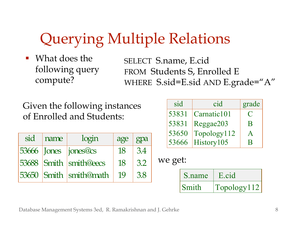# Querying Multiple Relations

 What does the following query compute?

SELECT S.name, E.cid FROM Students S, Enrolled E WHERE S.sid=E.sid AND E.grade="A"

Given the following instances of Enrolled and Students:

| sid | name | login                  | age | gpa |
|-----|------|------------------------|-----|-----|
|     |      | 53666 Jones jones@cs   | 18  | 3.4 |
|     |      | 53688 Smith smith@eecs | 18  | 3.2 |
|     |      | 53650 Smith smith@math | 19  | 3.8 |

| sid   | cid         | grade       |
|-------|-------------|-------------|
| 53831 | Carnatic101 | $\mathbf C$ |
| 53831 | Reggae203   | B           |
| 53650 | Topology112 |             |
| 53666 | History105  |             |

we get:

| S.name | E.cid       |
|--------|-------------|
| Smith  | Topology112 |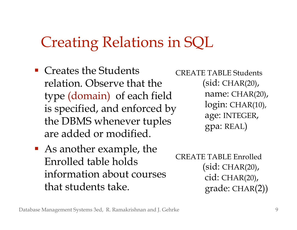#### Creating Relations in SQL

- Creates the Students relation. Observe that the type (domain) of each field is specified, and enforced by the DBMS whenever tuples are added or modified.
- As another example, the Enrolled table holds information about courses that students take.

CREATE TABLE Students (sid: CHAR(20), name: CHAR(20), login: CHAR(10), age: INTEGER, gpa: REAL)

```
CREATE TABLE Enrolled
     (sid: CHAR(20),
     cid: CHAR(20),
     grade: CHAR(2))
```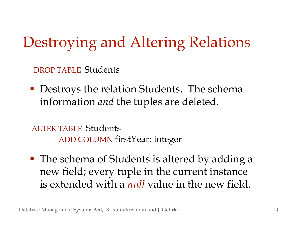Destroying and Altering Relations

DROP TABLE Students

• Destroys the relation Students. The schema information *and* the tuples are deleted.

ALTER TABLE Students ADD COLUMN firstYear: integer

■ The schema of Students is altered by adding a new field; every tuple in the current instance is extended with a *null* value in the new field.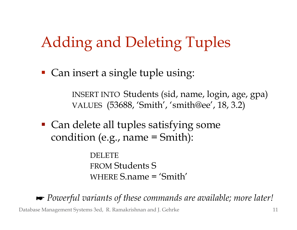## Adding and Deleting Tuples

■ Can insert a single tuple using:

INSERT INTO Students (sid, name, login, age, gpa) VALUES (53688, 'Smith' , 'smith@ee' , 18, 3.2)

 Can delete all tuples satisfying some condition (e.g., name = Smith):

> DELETE FROM Students S WHERE S.name = 'Smith'

 *Powerful variants of these commands are available; more later!*

Database Management Systems 3ed, R. Ramakrishnan and J. Gehrke 11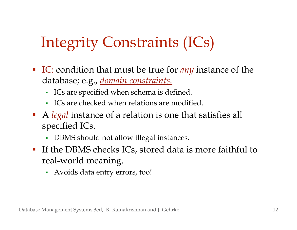# Integrity Constraints (ICs)

- IC: condition that must be true for *any* instance of the database; e.g., *domain constraints.*
	- ICs are specified when schema is defined.
	- ICs are checked when relations are modified.
- A *legal* instance of a relation is one that satisfies all specified ICs.
	- DBMS should not allow illegal instances.
- If the DBMS checks ICs, stored data is more faithful to real-world meaning.
	- Avoids data entry errors, too!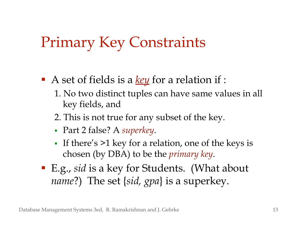## Primary Key Constraints

- A set of fields is a *key* for a relation if :
	- 1. No two distinct tuples can have same values in all key fields, and
	- 2. This is not true for any subset of the key.
	- Part 2 false? A *superkey*.
	- If there's  $>1$  key for a relation, one of the keys is chosen (by DBA) to be the *primary key*.
- E.g., *sid* is a key for Students. (What about *name*?) The set {*sid, gpa*} is a superkey.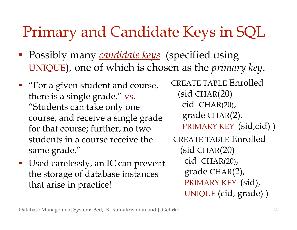## Primary and Candidate Keys in SQL

- Possibly many *candidate keys* (specified using UNIQUE), one of which is chosen as the *primary key*.
- **Fig.** "For a given student and course, there is a single grade." vs. "Students can take only one course, and receive a single grade for that course; further, no two students in a course receive the same grade."
- Used carelessly, an IC can prevent the storage of database instances that arise in practice!

CREATE TABLE Enrolled (sid CHAR(20) cid CHAR(20), grade CHAR(2), PRIMARY KEY (sid,cid)) CREATE TABLE Enrolled (sid CHAR(20) cid CHAR(20), grade CHAR(2), PRIMARY KEY (sid), UNIQUE (cid, grade) )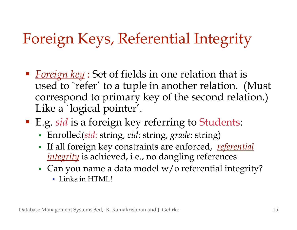# Foreign Keys, Referential Integrity

- *Foreign key* : Set of fields in one relation that is used to ` refer' to a tuple in another relation. (Must correspond to primary key of the second relation.) Like a `logical pointer'.
- E.g. *sid* is a foreign key referring to Students:
	- Enrolled(*sid*: string, *cid*: string, *grade*: string)
	- If all foreign key constraints are enforced, *referential integrity* is achieved, i.e., no dangling references.
	- Can you name a data model w/o referential integrity?
		- Links in HTML!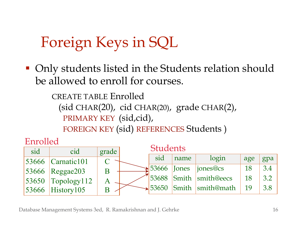# Foreign Keys in SQL

■ Only students listed in the Students relation should be allowed to enroll for courses.

> CREATE TABLE Enrolled (sid CHAR(20), cid CHAR(20), grade CHAR(2), PRIMARY KEY (sid,cid), FOREIGN KEY (sid) REFERENCES Students )

Enrolled

| sid | cid                    | grade | <b>Students</b> |                             |                                      |           |     |
|-----|------------------------|-------|-----------------|-----------------------------|--------------------------------------|-----------|-----|
|     | $ 53666 $ Carnatic 101 |       | sid             | name                        | login                                | age       | gpa |
|     | $ 53666 $ Reggae203    |       |                 | $\frac{1}{2}$ 53666   Jones | $\vert$ iones@cs                     | <b>18</b> | 3.4 |
|     | $ 53650 $ Topology 112 |       |                 |                             | 53688 Smith smith@eecs               | 18        | 3.2 |
|     | $53666$ History 105    |       |                 |                             | $\rightarrow$ 53650 Smith smith@math | 19        | 3.8 |

Database Management Systems 3ed, R. Ramakrishnan and J. Gehrke 16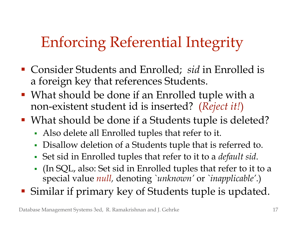# Enforcing Referential Integrity

- Consider Students and Enrolled; *sid* in Enrolled is a foreign key that references Students.
- What should be done if an Enrolled tuple with a non-existent student id is inserted? (*Reject it!*)
- What should be done if a Students tuple is deleted?
	- Also delete all Enrolled tuples that refer to it.
	- Disallow deletion of a Students tuple that is referred to.
	- Set sid in Enrolled tuples that refer to it to a *default sid*.
	- (In SQL, also: Set sid in Enrolled tuples that refer to it to a special value *null,* denoting *`unknown'* or *`inapplicable'*.)
- Similar if primary key of Students tuple is updated.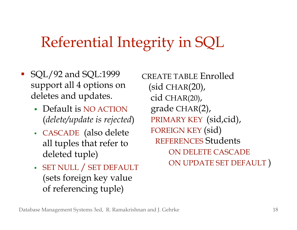## Referential Integrity in SQL

- **SQL/92 and SQL:1999** support all 4 options on deletes and updates.
	- Default is NO ACTION (*delete/update is rejected*)
	- CASCADE (also delete all tuples that refer to deleted tuple)
	- SET NULL / SET DEFAULT (sets foreign key value of referencing tuple)

CREATE TABLE Enrolled  $(sid CHAR(20),$  cid CHAR(20), grade CHAR(2), PRIMARY KEY (sid,cid), FOREIGN KEY (sid) REFERENCES Students ON DELETE CASCADE ON UPDATE SET DEFAULT )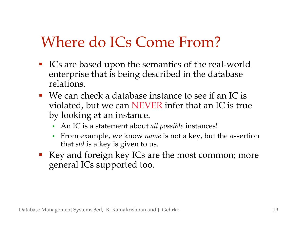## Where do ICs Come From?

- ICs are based upon the semantics of the real-world enterprise that is being described in the database relations.
- We can check a database instance to see if an IC is violated, but we can NEVER infer that an IC is true by looking at an instance.
	- An IC is a statement about *all possible* instances!
	- From example, we know *name* is not a key, but the assertion that *sid* is a key is given to us.
- Key and foreign key ICs are the most common; more general ICs supported too.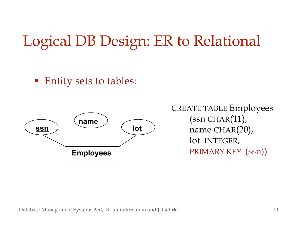## Logical DB Design: ER to Relational

■ Entity sets to tables:



CREATE TABLE Employees  $(ssn CHAR(11)),$  name CHAR(20), lot INTEGER,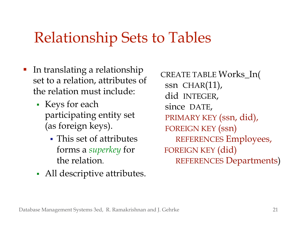#### Relationship Sets to Tables

- **IF** In translating a relationship set to a relation, attributes of the relation must include:
	- Keys for each participating entity set (as foreign keys).
		- This set of attributes forms a *superkey* for the relation.
	- All descriptive attributes.

CREATE TABLE Works\_In( ssn CHAR(11), did INTEGER, since DATE, PRIMARY KEY (ssn, did), FOREIGN KEY (ssn) REFERENCES Employees, FOREIGN KEY (did) REFERENCES Departments)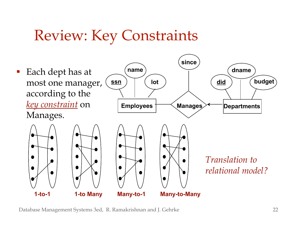#### Review: Key Constraints



Database Management Systems 3ed, R. Ramakrishnan and J. Gehrke 22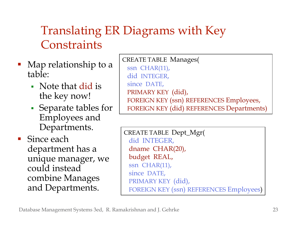#### Translating ER Diagrams with Key **Constraints**

- Map relationship to a table:
	- Note that did is the key now!
	- Separate tables for Employees and Departments.
- **Since each** department has a unique manager, we could instead combine Manages and Departments.

CREATE TABLE Manages( ssn CHAR(11), did INTEGER, since DATE, PRIMARY KEY (did), FOREIGN KEY (ssn) REFERENCES Employees, FOREIGN KEY (did) REFERENCES Departments)

CREATE TABLE Dept\_Mgr( did INTEGER, dname CHAR(20), budget REAL, ssn CHAR(11), since DATE, PRIMARY KEY (did), FOREIGN KEY (ssn) REFERENCES Employees)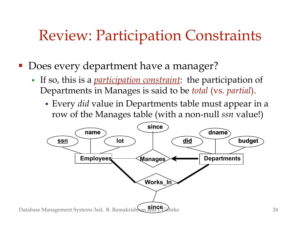## Review: Participation Constraints

Does every department have a manager?

- If so, this is a *participation constraint*: the participation of Departments in Manages is said to be *total* (vs. *partial*).
	- Every *did* value in Departments table must appear in a row of the Manages table (with a non-null *ssn* value!)

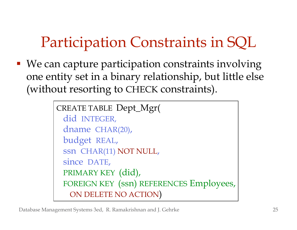# Participation Constraints in SQL

■ We can capture participation constraints involving one entity set in a binary relationship, but little else (without resorting to CHECK constraints).

```
CREATE TABLE Dept_Mgr(
did INTEGER,
dname CHAR(20),
budget REAL,
ssn CHAR(11) NOT NULL,
since DATE,
PRIMARY KEY (did),
FOREIGN KEY (ssn) REFERENCES Employees,
  ON DELETE NO ACTION)
```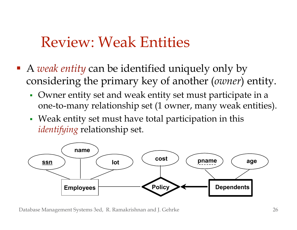#### Review: Weak Entities

- A *weak entity* can be identified uniquely only by considering the primary key of another (*owner*) entity.
	- Owner entity set and weak entity set must participate in a one-to-many relationship set (1 owner, many weak entities).
	- Weak entity set must have total participation in this *identifying* relationship set.



Database Management Systems 3ed, R. Ramakrishnan and J. Gehrke 26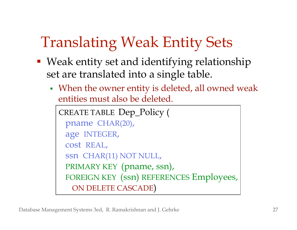# Translating Weak Entity Sets

- Weak entity set and identifying relationship set are translated into a single table.
	- When the owner entity is deleted, all owned weak entities must also be deleted.

```
CREATE TABLE Dep_Policy (
pname CHAR(20),
age INTEGER,
cost REAL,
ssn CHAR(11) NOT NULL,
PRIMARY KEY (pname, ssn),
FOREIGN KEY (ssn) REFERENCES Employees,
  ON DELETE CASCADE)
```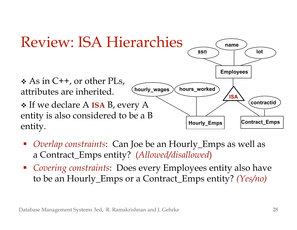

- *Overlap constraints*: Can Joe be an Hourly\_Emps as well as a Contract\_Emps entity? (*Allowed/disallowed*)
- *Covering constraints*: Does every Employees entity also have to be an Hourly\_Emps or a Contract\_Emps entity? *(Yes/no)*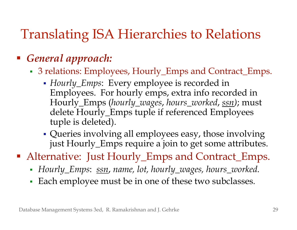#### Translating ISA Hierarchies to Relations

#### *General approach:*

- 3 relations: Employees, Hourly\_Emps and Contract\_Emps.
	- *Hourly\_Emps*: Every employee is recorded in Employees. For hourly emps, extra info recorded in Hourly\_Emps (*hourly\_wages*, *hours\_worked*, *ssn)*; must delete Hourly\_Emps tuple if referenced Employees tuple is deleted).
	- Queries involving all employees easy, those involving just Hourly\_Emps require a join to get some attributes.

■ Alternative: Just Hourly\_Emps and Contract\_Emps.

- *Hourly\_Emps*: *ssn*, *name, lot, hourly\_wages, hours\_worked.*
- Each employee must be in one of these two subclasses*.*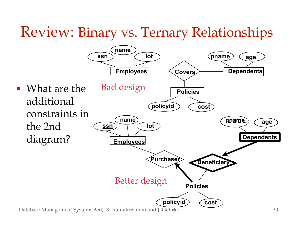#### Review: Binary vs. Ternary Relationships

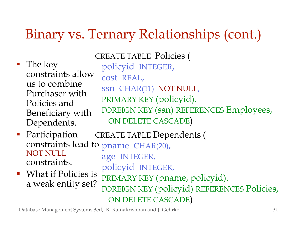#### Binary vs. Ternary Relationships (cont.)

■ The key constraints allow us to combine Purchaser with Policies and Beneficiary with Dependents.

CREATE TABLE Policies ( policyid INTEGER, cost REAL, ssn CHAR(11) NOT NULL, PRIMARY KEY (policyid). FOREIGN KEY (ssn) REFERENCES Employees, ON DELETE CASCADE)

- **Participation** constraints lead to pname CHAR(20), NOT NULL constraints. CREATE TABLE Dependents (
- **What if Policies is** a weak entity set?

 age INTEGER, policyid INTEGER, PRIMARY KEY (pname, policyid). FOREIGN KEY (policyid) REFERENCES Policies, ON DELETE CASCADE)

Database Management Systems 3ed, R. Ramakrishnan and J. Gehrke 31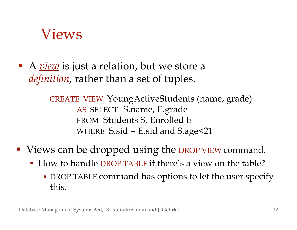#### Views

■ A <u>*view*</u> is just a relation, but we store a *definition*, rather than a set of tuples.

> CREATE VIEW YoungActiveStudents (name, grade) AS SELECT S.name, E.grade FROM Students S, Enrolled E WHERE  $S$ sid = E.sid and  $S$ .age $<$ 21

- Views can be dropped using the DROP VIEW command.
	- How to handle DROP TABLE if there's a view on the table?
		- DROP TABLE command has options to let the user specify this.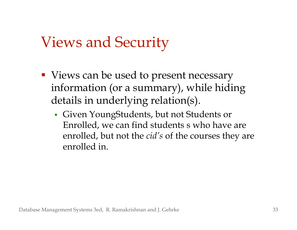## Views and Security

- Views can be used to present necessary information (or a summary), while hiding details in underlying relation(s).
	- Given YoungStudents, but not Students or Enrolled, we can find students s who have are enrolled, but not the *cid' s* of the courses they are enrolled in.